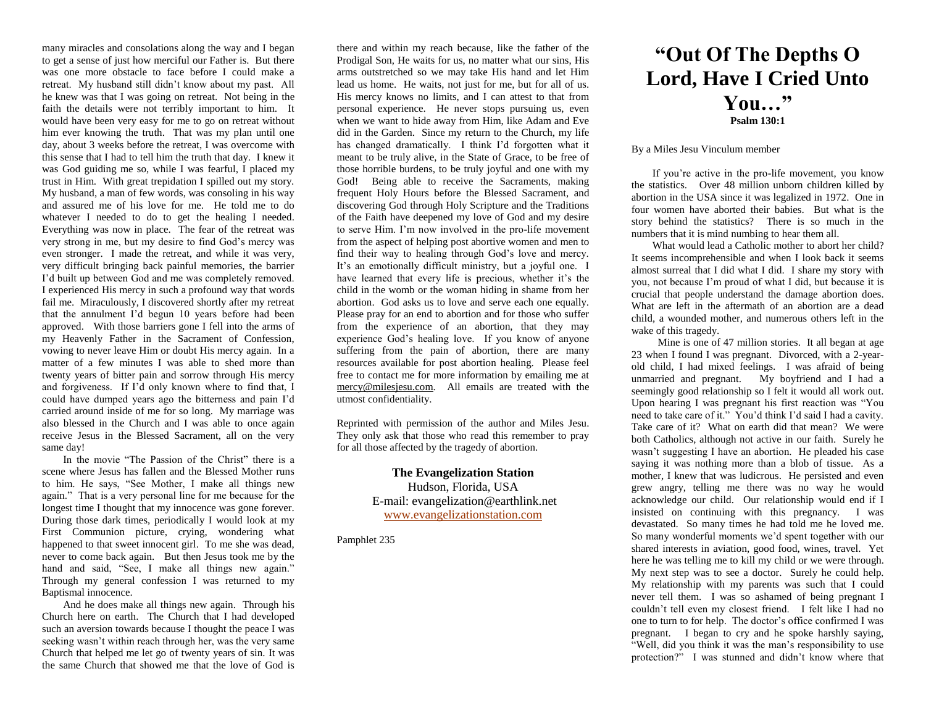many miracles and consolations along the way and I began to get a sense of just how merciful our Father is. But there was one more obstacle to face before I could make a retreat. My husband still didn't know about my past. All he knew was that I was going on retreat. Not being in the faith the details were not terribly important to him. It would have been very easy for me to go on retreat without him ever knowing the truth. That was my plan until one day, about 3 weeks before the retreat, I was overcome with this sense that I had to tell him the truth that day. I knew it was God guiding me so, while I was fearful, I placed my trust in Him. With great trepidation I spilled out my story. My husband, a man of few words, was consoling in his way and assured me of his love for me. He told me to do whatever I needed to do to get the healing I needed. Everything was now in place. The fear of the retreat was very strong in me, but my desire to find God's mercy was even stronger. I made the retreat, and while it was very, very difficult bringing back painful memories, the barrier I'd built up between God and me was completely removed. I experienced His mercy in such a profound way that words fail me. Miraculously, I discovered shortly after my retreat that the annulment I'd begun 10 years before had been approved. With those barriers gone I fell into the arms of my Heavenly Father in the Sacrament of Confession, vowing to never leave Him or doubt His mercy again. In a matter of a few minutes I was able to shed more than twenty years of bitter pain and sorrow through His mercy and forgiveness. If I'd only known where to find that, I could have dumped years ago the bitterness and pain I'd carried around inside of me for so long. My marriage was also blessed in the Church and I was able to once again receive Jesus in the Blessed Sacrament, all on the very same day!

In the movie "The Passion of the Christ" there is a scene where Jesus has fallen and the Blessed Mother runs to him. He says, "See Mother, I make all things new again." That is a very personal line for me because for the longest time I thought that my innocence was gone forever. During those dark times, periodically I would look at my First Communion picture, crying, wondering what happened to that sweet innocent girl. To me she was dead, never to come back again. But then Jesus took me by the hand and said, "See, I make all things new again." Through my general confession I was returned to my Baptismal innocence.

And he does make all things new again. Through his Church here on earth. The Church that I had developed such an aversion towards because I thought the peace I was seeking wasn't within reach through her, was the very same Church that helped me let go of twenty years of sin. It was the same Church that showed me that the love of God is

there and within my reach because, like the father of the Prodigal Son, He waits for us, no matter what our sins, His arms outstretched so we may take His hand and let Him lead us home. He waits, not just for me, but for all of us. His mercy knows no limits, and I can attest to that from personal experience. He never stops pursuing us, even when we want to hide away from Him, like Adam and Eve did in the Garden. Since my return to the Church, my life has changed dramatically. I think I'd forgotten what it meant to be truly alive, in the State of Grace, to be free of those horrible burdens, to be truly joyful and one with my God! Being able to receive the Sacraments, making frequent Holy Hours before the Blessed Sacrament, and discovering God through Holy Scripture and the Traditions of the Faith have deepened my love of God and my desire to serve Him. I'm now involved in the pro-life movement from the aspect of helping post abortive women and men to find their way to healing through God's love and mercy. It's an emotionally difficult ministry, but a joyful one. I have learned that every life is precious, whether it's the child in the womb or the woman hiding in shame from her abortion. God asks us to love and serve each one equally. Please pray for an end to abortion and for those who suffer from the experience of an abortion, that they may experience God's healing love. If you know of anyone suffering from the pain of abortion, there are many resources available for post abortion healing. Please feel free to contact me for more information by emailing me at [mercy@milesjesu.com.](../../Local%20Settings/Temp/wz533a/mercy@milesjesu.com) All emails are treated with the utmost confidentiality.

Reprinted with permission of the author and Miles Jesu. They only ask that those who read this remember to pray for all those affected by the tragedy of abortion.

> **The Evangelization Station** Hudson, Florida, USA E-mail: evangelization@earthlink.net [www.evangelizationstation.com](http://www.pjpiisoe.org/)

Pamphlet 235

## **"Out Of The Depths O Lord, Have I Cried Unto You…" Psalm 130:1**

## By a Miles Jesu Vinculum member

If you're active in the pro-life movement, you know the statistics. Over 48 million unborn children killed by abortion in the USA since it was legalized in 1972. One in four women have aborted their babies. But what is the story behind the statistics? There is so much in the numbers that it is mind numbing to hear them all.

What would lead a Catholic mother to abort her child? It seems incomprehensible and when I look back it seems almost surreal that I did what I did. I share my story with you, not because I'm proud of what I did, but because it is crucial that people understand the damage abortion does. What are left in the aftermath of an abortion are a dead child, a wounded mother, and numerous others left in the wake of this tragedy.

 Mine is one of 47 million stories. It all began at age 23 when I found I was pregnant. Divorced, with a 2-yearold child, I had mixed feelings. I was afraid of being unmarried and pregnant. My boyfriend and I had a seemingly good relationship so I felt it would all work out. Upon hearing I was pregnant his first reaction was "You need to take care of it." You'd think I'd said I had a cavity. Take care of it? What on earth did that mean? We were both Catholics, although not active in our faith. Surely he wasn't suggesting I have an abortion. He pleaded his case saying it was nothing more than a blob of tissue. As a mother, I knew that was ludicrous. He persisted and even grew angry, telling me there was no way he would acknowledge our child. Our relationship would end if I insisted on continuing with this pregnancy. I was devastated. So many times he had told me he loved me. So many wonderful moments we'd spent together with our shared interests in aviation, good food, wines, travel. Yet here he was telling me to kill my child or we were through. My next step was to see a doctor. Surely he could help. My relationship with my parents was such that I could never tell them. I was so ashamed of being pregnant I couldn't tell even my closest friend. I felt like I had no one to turn to for help. The doctor's office confirmed I was pregnant. I began to cry and he spoke harshly saying, "Well, did you think it was the man's responsibility to use protection?" I was stunned and didn't know where that